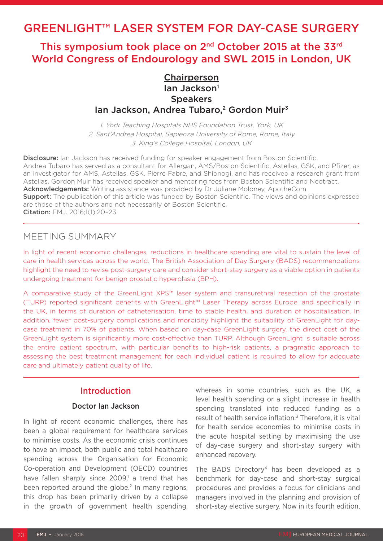# GREENLIGHT™ LASER SYSTEM FOR DAY-CASE SURGERY

# This symposium took place on 2nd October 2015 at the 33rd World Congress of Endourology and SWL 2015 in London, UK

# Chairperson lan Jackson<sup>1</sup> **Speakers** Ian Jackson, Andrea Tubaro,<sup>2</sup> Gordon Muir<sup>3</sup>

1. York Teaching Hospitals NHS Foundation Trust, York, UK 2. Sant'Andrea Hospital, Sapienza University of Rome, Rome, Italy 3. King's College Hospital, London, UK

Disclosure: Ian Jackson has received funding for speaker engagement from Boston Scientific. Andrea Tubaro has served as a consultant for Allergan, AMS/Boston Scientific, Astellas, GSK, and Pfizer, as an investigator for AMS, Astellas, GSK, Pierre Fabre, and Shionogi, and has received a research grant from Astellas. Gordon Muir has received speaker and mentoring fees from Boston Scientific and Neotract. Acknowledgements: Writing assistance was provided by Dr Juliane Moloney, ApotheCom. **Support:** The publication of this article was funded by Boston Scientific. The views and opinions expressed are those of the authors and not necessarily of Boston Scientific. Citation: EMJ. 2016;1(1):20–23.

## MEETING SUMMARY

In light of recent economic challenges, reductions in healthcare spending are vital to sustain the level of care in health services across the world. The British Association of Day Surgery (BADS) recommendations highlight the need to revise post-surgery care and consider short-stay surgery as a viable option in patients undergoing treatment for benign prostatic hyperplasia (BPH).

A comparative study of the GreenLight XPS™ laser system and transurethral resection of the prostate (TURP) reported significant benefits with GreenLight™ Laser Therapy across Europe, and specifically in the UK, in terms of duration of catheterisation, time to stable health, and duration of hospitalisation. In addition, fewer post-surgery complications and morbidity highlight the suitability of GreenLight for daycase treatment in 70% of patients. When based on day-case GreenLight surgery, the direct cost of the GreenLight system is significantly more cost-effective than TURP. Although GreenLight is suitable across the entire patient spectrum, with particular benefits to high-risk patients, a pragmatic approach to assessing the best treatment management for each individual patient is required to allow for adequate care and ultimately patient quality of life.

# Introduction

## Doctor Ian Jackson

In light of recent economic challenges, there has been a global requirement for healthcare services to minimise costs. As the economic crisis continues to have an impact, both public and total healthcare spending across the Organisation for Economic Co-operation and Development (OECD) countries have fallen sharply since 2009,<sup>1</sup> a trend that has been reported around the globe.<sup>2</sup> In many regions, this drop has been primarily driven by a collapse in the growth of government health spending,

whereas in some countries, such as the UK, a level health spending or a slight increase in health spending translated into reduced funding as a result of health service inflation.<sup>3</sup> Therefore, it is vital for health service economies to minimise costs in the acute hospital setting by maximising the use of day-case surgery and short-stay surgery with enhanced recovery.

The BADS Directory<sup>4</sup> has been developed as a benchmark for day-case and short-stay surgical procedures and provides a focus for clinicians and managers involved in the planning and provision of short-stay elective surgery. Now in its fourth edition,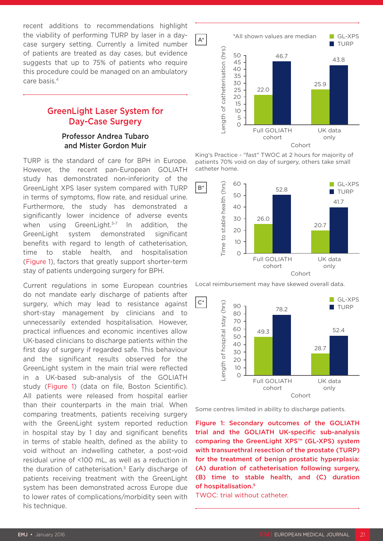recent additions to recommendations highlight the viability of performing TURP by laser in a daycase surgery setting. Currently a limited number of patients are treated as day cases, but evidence suggests that up to 75% of patients who require this procedure could be managed on an ambulatory care basis.4

# GreenLight Laser System for Day-Case Surgery

## Professor Andrea Tubaro and Mister Gordon Muir

TURP is the standard of care for BPH in Europe. However, the recent pan-European GOLIATH study has demonstrated non-inferiority of the GreenLight XPS laser system compared with TURP in terms of symptoms, flow rate, and residual urine. Furthermore, the study has demonstrated a significantly lower incidence of adverse events when using GreenLight.<sup>5-7</sup> In addition, the GreenLight system demonstrated significant benefits with regard to length of catheterisation, time to stable health, and hospitalisation (Figure 1), factors that greatly support shorter-term stay of patients undergoing surgery for BPH.

Current regulations in some European countries do not mandate early discharge of patients after surgery, which may lead to resistance against short-stay management by clinicians and to unnecessarily extended hospitalisation. However, practical influences and economic incentives allow UK-based clinicians to discharge patients within the first day of surgery if regarded safe. This behaviour and the significant results observed for the GreenLight system in the main trial were reflected in a UK-based sub-analysis of the GOLIATH study (Figure 1) (data on file, Boston Scientific). All patients were released from hospital earlier than their counterparts in the main trial. When comparing treatments, patients receiving surgery with the GreenLight system reported reduction in hospital stay by 1 day and significant benefits in terms of stable health, defined as the ability to void without an indwelling catheter, a post-void residual urine of <100 mL, as well as a reduction in the duration of catheterisation.5 Early discharge of patients receiving treatment with the GreenLight system has been demonstrated across Europe due to lower rates of complications/morbidity seen with his technique.



King's Practice - "fast" TWOC at 2 hours for majority of patients 70% void on day of surgery, others take small catheter home.



Local reimbursement may have skewed overall data.



Some centres limited in ability to discharge patients.

Figure 1: Secondary outcomes of the GOLIATH trial and the GOLIATH UK-specific sub-analysis comparing the GreenLight XPS™ (GL-XPS) system with transurethral resection of the prostate (TURP) for the treatment of benign prostatic hyperplasia: (A) duration of catheterisation following surgery, (B) time to stable health, and (C) duration of hospitalisation.5

TWOC: trial without catheter.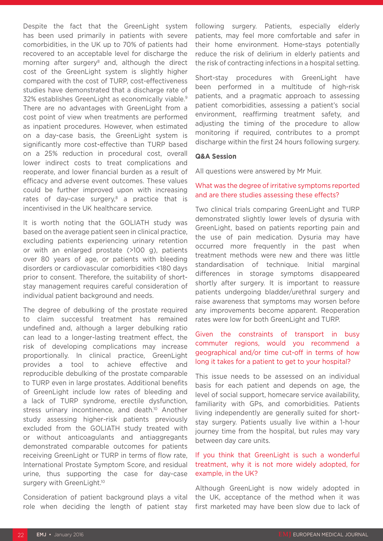Despite the fact that the GreenLight system has been used primarily in patients with severe comorbidities, in the UK up to 70% of patients had recovered to an acceptable level for discharge the morning after surgery<sup>8</sup> and, although the direct cost of the GreenLight system is slightly higher compared with the cost of TURP, cost-effectiveness studies have demonstrated that a discharge rate of 32% establishes GreenLight as economically viable.9 There are no advantages with GreenLight from a cost point of view when treatments are performed as inpatient procedures. However, when estimated on a day-case basis, the GreenLight system is significantly more cost-effective than TURP based on a 25% reduction in procedural cost, overall lower indirect costs to treat complications and reoperate, and lower financial burden as a result of efficacy and adverse event outcomes. These values could be further improved upon with increasing rates of day-case surgery, $8$  a practice that is incentivised in the UK healthcare service.

It is worth noting that the GOLIATH study was based on the average patient seen in clinical practice, excluding patients experiencing urinary retention or with an enlarged prostate (>100 g), patients over 80 years of age, or patients with bleeding disorders or cardiovascular comorbidities <180 days prior to consent. Therefore, the suitability of shortstay management requires careful consideration of individual patient background and needs.

The degree of debulking of the prostate required to claim successful treatment has remained undefined and, although a larger debulking ratio can lead to a longer-lasting treatment effect, the risk of developing complications may increase proportionally. In clinical practice, GreenLight provides a tool to achieve effective and reproducible debulking of the prostate comparable to TURP even in large prostates. Additional benefits of GreenLight include low rates of bleeding and a lack of TURP syndrome, erectile dysfunction, stress urinary incontinence, and death.<sup>10</sup> Another study assessing higher-risk patients previously excluded from the GOLIATH study treated with or without anticoagulants and antiaggregants demonstrated comparable outcomes for patients receiving GreenLight or TURP in terms of flow rate, International Prostate Symptom Score, and residual urine, thus supporting the case for day-case surgery with GreenLight.<sup>10</sup>

Consideration of patient background plays a vital role when deciding the length of patient stay

following surgery. Patients, especially elderly patients, may feel more comfortable and safer in their home environment. Home-stays potentially reduce the risk of delirium in elderly patients and the risk of contracting infections in a hospital setting.

Short-stay procedures with GreenLight have been performed in a multitude of high-risk patients, and a pragmatic approach to assessing patient comorbidities, assessing a patient's social environment, reaffirming treatment safety, and adjusting the timing of the procedure to allow monitoring if required, contributes to a prompt discharge within the first 24 hours following surgery.

#### **Q&A Session**

All questions were answered by Mr Muir.

#### What was the degree of irritative symptoms reported and are there studies assessing these effects?

Two clinical trials comparing GreenLight and TURP demonstrated slightly lower levels of dysuria with GreenLight, based on patients reporting pain and the use of pain medication. Dysuria may have occurred more frequently in the past when treatment methods were new and there was little standardisation of technique. Initial marginal differences in storage symptoms disappeared shortly after surgery. It is important to reassure patients undergoing bladder/urethral surgery and raise awareness that symptoms may worsen before any improvements become apparent. Reoperation rates were low for both GreenLight and TURP.

## Given the constraints of transport in busy commuter regions, would you recommend a geographical and/or time cut-off in terms of how long it takes for a patient to get to your hospital?

This issue needs to be assessed on an individual basis for each patient and depends on age, the level of social support, homecare service availability, familiarity with GPs, and comorbidities. Patients living independently are generally suited for shortstay surgery. Patients usually live within a 1-hour journey time from the hospital, but rules may vary between day care units.

### If you think that GreenLight is such a wonderful treatment, why it is not more widely adopted, for example, in the UK?

Although GreenLight is now widely adopted in the UK, acceptance of the method when it was first marketed may have been slow due to lack of